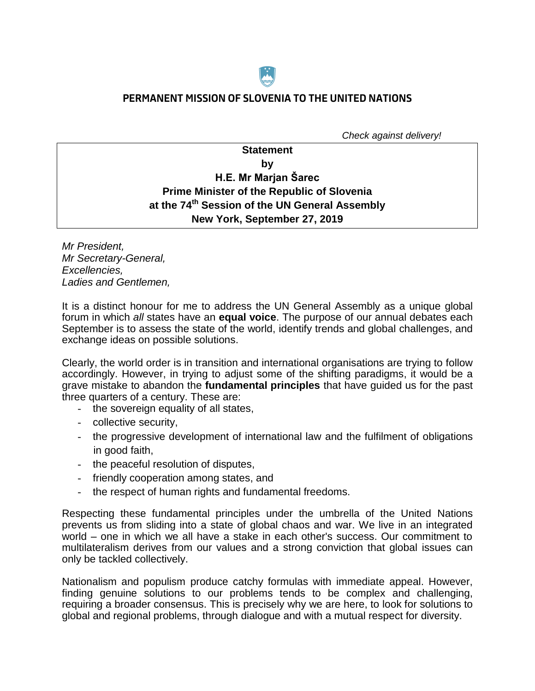

## **PERMANENT MISSION OF SLOVENIA TO THE UNITED NATIONS**

 *Check against delivery!*

# **Statement by H.E. Mr Marjan Šarec Prime Minister of the Republic of Slovenia at the 74th Session of the UN General Assembly New York, September 27, 2019**

*Mr President, Mr Secretary-General, Excellencies, Ladies and Gentlemen,*

It is a distinct honour for me to address the UN General Assembly as a unique global forum in which *all* states have an **equal voice**. The purpose of our annual debates each September is to assess the state of the world, identify trends and global challenges, and exchange ideas on possible solutions.

Clearly, the world order is in transition and international organisations are trying to follow accordingly. However, in trying to adjust some of the shifting paradigms, it would be a grave mistake to abandon the **fundamental principles** that have guided us for the past three quarters of a century. These are:

- the sovereign equality of all states,
- collective security,
- the progressive development of international law and the fulfilment of obligations in good faith,
- the peaceful resolution of disputes,
- friendly cooperation among states, and
- the respect of human rights and fundamental freedoms.

Respecting these fundamental principles under the umbrella of the United Nations prevents us from sliding into a state of global chaos and war. We live in an integrated world – one in which we all have a stake in each other's success. Our commitment to multilateralism derives from our values and a strong conviction that global issues can only be tackled collectively.

Nationalism and populism produce catchy formulas with immediate appeal. However, finding genuine solutions to our problems tends to be complex and challenging, requiring a broader consensus. This is precisely why we are here, to look for solutions to global and regional problems, through dialogue and with a mutual respect for diversity.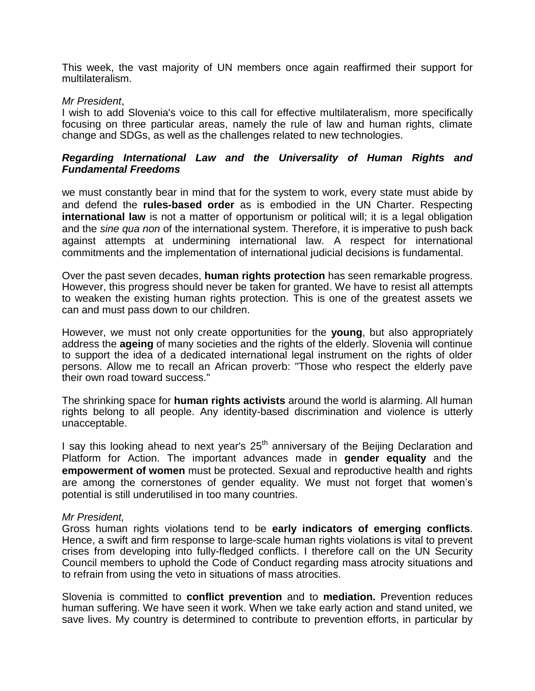This week, the vast majority of UN members once again reaffirmed their support for multilateralism.

#### *Mr President*,

I wish to add Slovenia's voice to this call for effective multilateralism, more specifically focusing on three particular areas, namely the rule of law and human rights, climate change and SDGs, as well as the challenges related to new technologies.

## *Regarding International Law and the Universality of Human Rights and Fundamental Freedoms*

we must constantly bear in mind that for the system to work, every state must abide by and defend the **rules-based order** as is embodied in the UN Charter. Respecting **international law** is not a matter of opportunism or political will; it is a legal obligation and the *sine qua non* of the international system. Therefore, it is imperative to push back against attempts at undermining international law. A respect for international commitments and the implementation of international judicial decisions is fundamental.

Over the past seven decades, **human rights protection** has seen remarkable progress. However, this progress should never be taken for granted. We have to resist all attempts to weaken the existing human rights protection. This is one of the greatest assets we can and must pass down to our children.

However, we must not only create opportunities for the **young**, but also appropriately address the **ageing** of many societies and the rights of the elderly. Slovenia will continue to support the idea of a dedicated international legal instrument on the rights of older persons. Allow me to recall an African proverb: "Those who respect the elderly pave their own road toward success."

The shrinking space for **human rights activists** around the world is alarming. All human rights belong to all people. Any identity-based discrimination and violence is utterly unacceptable.

I say this looking ahead to next year's  $25<sup>th</sup>$  anniversary of the Beijing Declaration and Platform for Action. The important advances made in **gender equality** and the **empowerment of women** must be protected. Sexual and reproductive health and rights are among the cornerstones of gender equality. We must not forget that women's potential is still underutilised in too many countries.

#### *Mr President,*

Gross human rights violations tend to be **early indicators of emerging conflicts**. Hence, a swift and firm response to large-scale human rights violations is vital to prevent crises from developing into fully-fledged conflicts. I therefore call on the UN Security Council members to uphold the Code of Conduct regarding mass atrocity situations and to refrain from using the veto in situations of mass atrocities.

Slovenia is committed to **conflict prevention** and to **mediation.** Prevention reduces human suffering. We have seen it work. When we take early action and stand united, we save lives. My country is determined to contribute to prevention efforts, in particular by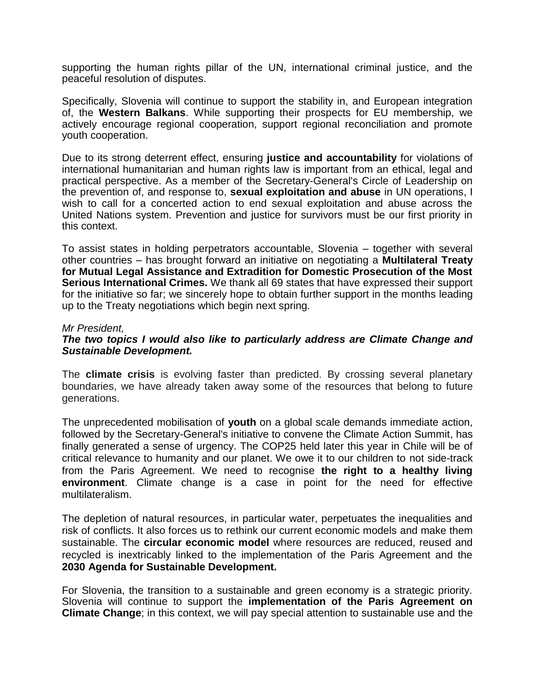supporting the human rights pillar of the UN, international criminal justice, and the peaceful resolution of disputes.

Specifically, Slovenia will continue to support the stability in, and European integration of, the **Western Balkans**. While supporting their prospects for EU membership, we actively encourage regional cooperation, support regional reconciliation and promote youth cooperation.

Due to its strong deterrent effect, ensuring **justice and accountability** for violations of international humanitarian and human rights law is important from an ethical, legal and practical perspective. As a member of the Secretary-General's Circle of Leadership on the prevention of, and response to, **sexual exploitation and abuse** in UN operations, I wish to call for a concerted action to end sexual exploitation and abuse across the United Nations system. Prevention and justice for survivors must be our first priority in this context.

To assist states in holding perpetrators accountable, Slovenia – together with several other countries – has brought forward an initiative on negotiating a **Multilateral Treaty for Mutual Legal Assistance and Extradition for Domestic Prosecution of the Most Serious International Crimes.** We thank all 69 states that have expressed their support for the initiative so far; we sincerely hope to obtain further support in the months leading up to the Treaty negotiations which begin next spring.

#### *Mr President,*

## *The two topics I would also like to particularly address are Climate Change and Sustainable Development.*

The **climate crisis** is evolving faster than predicted. By crossing several planetary boundaries, we have already taken away some of the resources that belong to future generations.

The unprecedented mobilisation of **youth** on a global scale demands immediate action, followed by the Secretary-General's initiative to convene the Climate Action Summit, has finally generated a sense of urgency. The COP25 held later this year in Chile will be of critical relevance to humanity and our planet. We owe it to our children to not side-track from the Paris Agreement. We need to recognise **the right to a healthy living environment**. Climate change is a case in point for the need for effective multilateralism.

The depletion of natural resources, in particular water, perpetuates the inequalities and risk of conflicts. It also forces us to rethink our current economic models and make them sustainable. The **circular economic model** where resources are reduced, reused and recycled is inextricably linked to the implementation of the Paris Agreement and the **2030 Agenda for Sustainable Development.** 

For Slovenia, the transition to a sustainable and green economy is a strategic priority. Slovenia will continue to support the **implementation of the Paris Agreement on Climate Change**; in this context, we will pay special attention to sustainable use and the